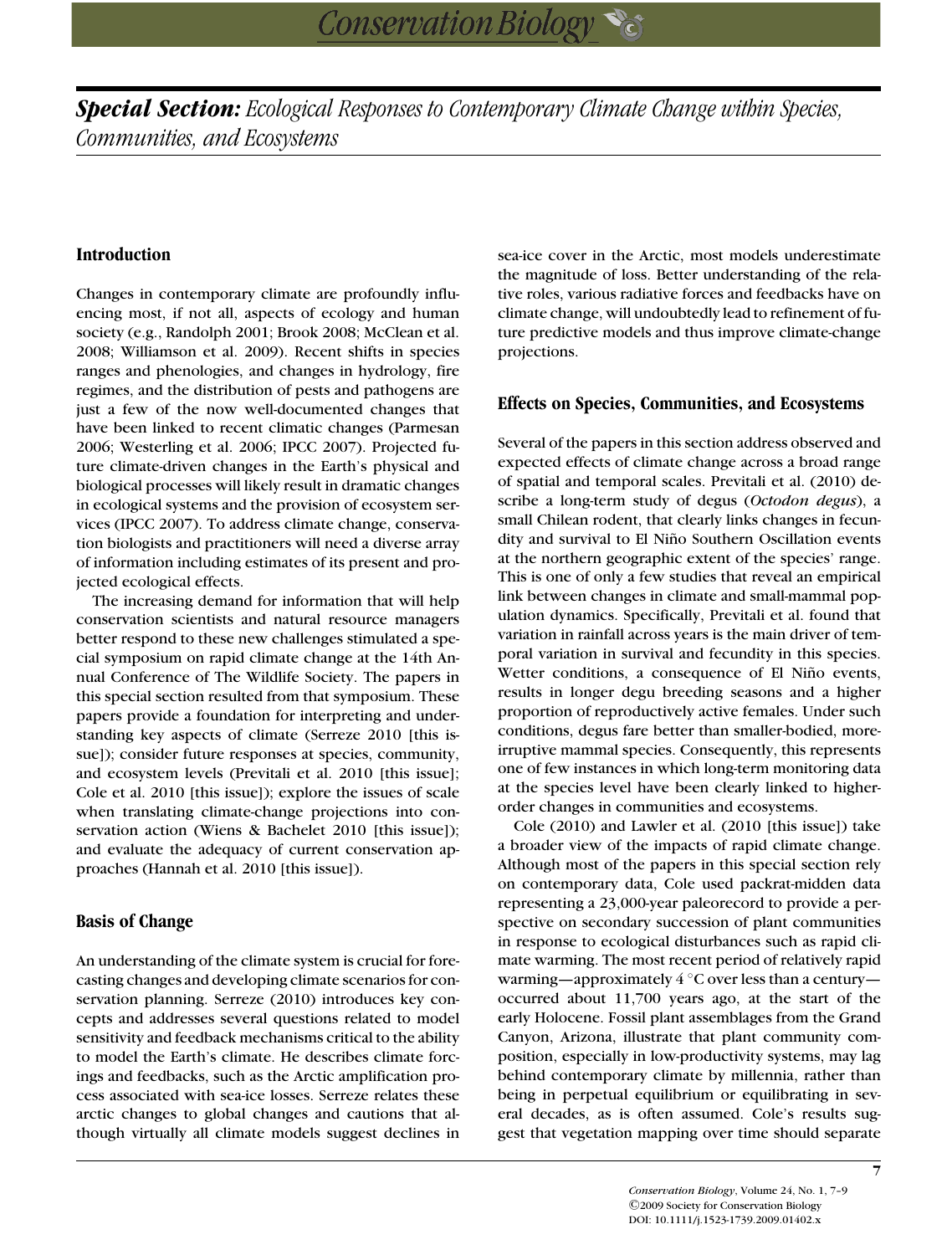*Special Section: Ecological Responses to Contemporary Climate Change within Species, Communities, and Ecosystems*

## **Introduction**

Changes in contemporary climate are profoundly influencing most, if not all, aspects of ecology and human society (e.g., Randolph 2001; Brook 2008; McClean et al. 2008; Williamson et al. 2009). Recent shifts in species ranges and phenologies, and changes in hydrology, fire regimes, and the distribution of pests and pathogens are just a few of the now well-documented changes that have been linked to recent climatic changes (Parmesan 2006; Westerling et al. 2006; IPCC 2007). Projected future climate-driven changes in the Earth's physical and biological processes will likely result in dramatic changes in ecological systems and the provision of ecosystem services (IPCC 2007). To address climate change, conservation biologists and practitioners will need a diverse array of information including estimates of its present and projected ecological effects.

The increasing demand for information that will help conservation scientists and natural resource managers better respond to these new challenges stimulated a special symposium on rapid climate change at the 14th Annual Conference of The Wildlife Society. The papers in this special section resulted from that symposium. These papers provide a foundation for interpreting and understanding key aspects of climate (Serreze 2010 [this issue]); consider future responses at species, community, and ecosystem levels (Previtali et al. 2010 [this issue]; Cole et al. 2010 [this issue]); explore the issues of scale when translating climate-change projections into conservation action (Wiens & Bachelet 2010 [this issue]); and evaluate the adequacy of current conservation approaches (Hannah et al. 2010 [this issue]).

# **Basis of Change**

An understanding of the climate system is crucial for forecasting changes and developing climate scenarios for conservation planning. Serreze (2010) introduces key concepts and addresses several questions related to model sensitivity and feedback mechanisms critical to the ability to model the Earth's climate. He describes climate forcings and feedbacks, such as the Arctic amplification process associated with sea-ice losses. Serreze relates these arctic changes to global changes and cautions that although virtually all climate models suggest declines in

sea-ice cover in the Arctic, most models underestimate the magnitude of loss. Better understanding of the relative roles, various radiative forces and feedbacks have on climate change, will undoubtedly lead to refinement of future predictive models and thus improve climate-change projections.

## **Effects on Species, Communities, and Ecosystems**

Several of the papers in this section address observed and expected effects of climate change across a broad range of spatial and temporal scales. Previtali et al. (2010) describe a long-term study of degus (*Octodon degus*), a small Chilean rodent, that clearly links changes in fecundity and survival to El Niño Southern Oscillation events at the northern geographic extent of the species' range. This is one of only a few studies that reveal an empirical link between changes in climate and small-mammal population dynamics. Specifically, Previtali et al. found that variation in rainfall across years is the main driver of temporal variation in survival and fecundity in this species. Wetter conditions, a consequence of El Niño events, results in longer degu breeding seasons and a higher proportion of reproductively active females. Under such conditions, degus fare better than smaller-bodied, moreirruptive mammal species. Consequently, this represents one of few instances in which long-term monitoring data at the species level have been clearly linked to higherorder changes in communities and ecosystems.

Cole (2010) and Lawler et al. (2010 [this issue]) take a broader view of the impacts of rapid climate change. Although most of the papers in this special section rely on contemporary data, Cole used packrat-midden data representing a 23,000-year paleorecord to provide a perspective on secondary succession of plant communities in response to ecological disturbances such as rapid climate warming. The most recent period of relatively rapid warming—approximately 4 ℃ over less than a century occurred about 11,700 years ago, at the start of the early Holocene. Fossil plant assemblages from the Grand Canyon, Arizona, illustrate that plant community composition, especially in low-productivity systems, may lag behind contemporary climate by millennia, rather than being in perpetual equilibrium or equilibrating in several decades, as is often assumed. Cole's results suggest that vegetation mapping over time should separate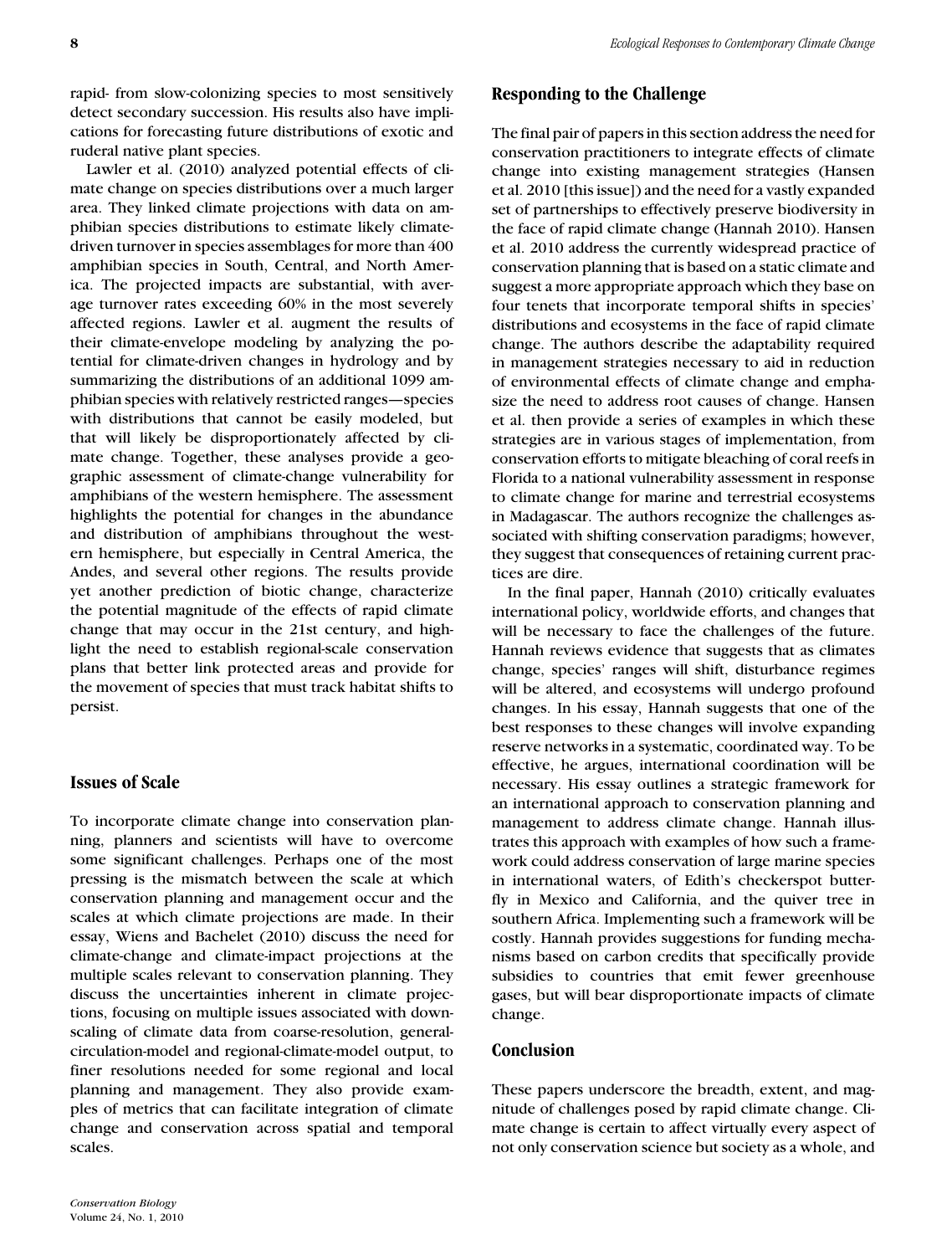rapid- from slow-colonizing species to most sensitively detect secondary succession. His results also have implications for forecasting future distributions of exotic and ruderal native plant species.

Lawler et al. (2010) analyzed potential effects of climate change on species distributions over a much larger area. They linked climate projections with data on amphibian species distributions to estimate likely climatedriven turnover in species assemblages for more than 400 amphibian species in South, Central, and North America. The projected impacts are substantial, with average turnover rates exceeding 60% in the most severely affected regions. Lawler et al. augment the results of their climate-envelope modeling by analyzing the potential for climate-driven changes in hydrology and by summarizing the distributions of an additional 1099 amphibian species with relatively restricted ranges—species with distributions that cannot be easily modeled, but that will likely be disproportionately affected by climate change. Together, these analyses provide a geographic assessment of climate-change vulnerability for amphibians of the western hemisphere. The assessment highlights the potential for changes in the abundance and distribution of amphibians throughout the western hemisphere, but especially in Central America, the Andes, and several other regions. The results provide yet another prediction of biotic change, characterize the potential magnitude of the effects of rapid climate change that may occur in the 21st century, and highlight the need to establish regional-scale conservation plans that better link protected areas and provide for the movement of species that must track habitat shifts to persist.

# **Issues of Scale**

To incorporate climate change into conservation planning, planners and scientists will have to overcome some significant challenges. Perhaps one of the most pressing is the mismatch between the scale at which conservation planning and management occur and the scales at which climate projections are made. In their essay, Wiens and Bachelet (2010) discuss the need for climate-change and climate-impact projections at the multiple scales relevant to conservation planning. They discuss the uncertainties inherent in climate projections, focusing on multiple issues associated with downscaling of climate data from coarse-resolution, generalcirculation-model and regional-climate-model output, to finer resolutions needed for some regional and local planning and management. They also provide examples of metrics that can facilitate integration of climate change and conservation across spatial and temporal scales.

#### **Responding to the Challenge**

The final pair of papers in this section address the need for conservation practitioners to integrate effects of climate change into existing management strategies (Hansen et al. 2010 [this issue]) and the need for a vastly expanded set of partnerships to effectively preserve biodiversity in the face of rapid climate change (Hannah 2010). Hansen et al. 2010 address the currently widespread practice of conservation planning that is based on a static climate and suggest a more appropriate approach which they base on four tenets that incorporate temporal shifts in species' distributions and ecosystems in the face of rapid climate change. The authors describe the adaptability required in management strategies necessary to aid in reduction of environmental effects of climate change and emphasize the need to address root causes of change. Hansen et al. then provide a series of examples in which these strategies are in various stages of implementation, from conservation efforts to mitigate bleaching of coral reefs in Florida to a national vulnerability assessment in response to climate change for marine and terrestrial ecosystems in Madagascar. The authors recognize the challenges associated with shifting conservation paradigms; however, they suggest that consequences of retaining current practices are dire.

In the final paper, Hannah (2010) critically evaluates international policy, worldwide efforts, and changes that will be necessary to face the challenges of the future. Hannah reviews evidence that suggests that as climates change, species' ranges will shift, disturbance regimes will be altered, and ecosystems will undergo profound changes. In his essay, Hannah suggests that one of the best responses to these changes will involve expanding reserve networks in a systematic, coordinated way. To be effective, he argues, international coordination will be necessary. His essay outlines a strategic framework for an international approach to conservation planning and management to address climate change. Hannah illustrates this approach with examples of how such a framework could address conservation of large marine species in international waters, of Edith's checkerspot butterfly in Mexico and California, and the quiver tree in southern Africa. Implementing such a framework will be costly. Hannah provides suggestions for funding mechanisms based on carbon credits that specifically provide subsidies to countries that emit fewer greenhouse gases, but will bear disproportionate impacts of climate change.

## **Conclusion**

These papers underscore the breadth, extent, and magnitude of challenges posed by rapid climate change. Climate change is certain to affect virtually every aspect of not only conservation science but society as a whole, and